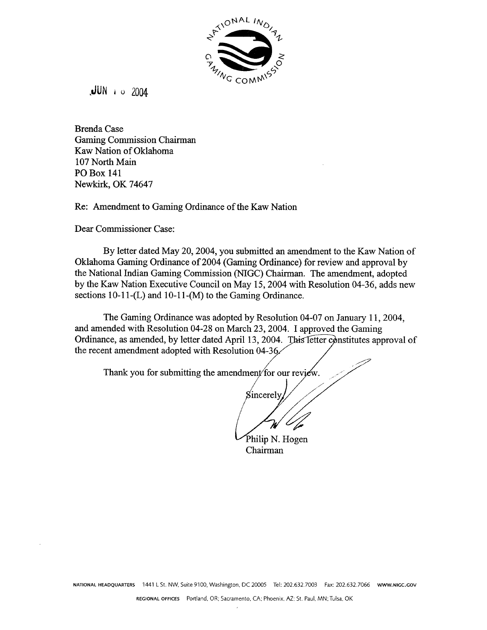

 $JUN = 0.2004$ 

Brenda Case Gaming Commission Chairman Kaw Nation of Oklahoma 107 North Main PO Box 141 Newkirk, OK 74647

Re: Amendment to Gaming Ordinance of the Kaw Nation

Dear Commissioner Case:

By letter dated May 20,2004, you submitted an amendment to the Kaw Nation of Oklahoma Gaming Ordinance of 2004 (Gaming Ordinance) for review and approval by the National Indian Gaming Commission (NIGC) Chairman. The amendment, adopted by the Kaw Nation Executive Council on May 15,2004 with Resolution 04-36, adds new sections  $10-11-(L)$  and  $10-11-(M)$  to the Gaming Ordinance.

The Gaming Ordinance was adopted by Resolution 04-07 on January 11,2004, and amended with Resolution 04-28 on March 23,2004. I approved the Gaming Ordinance, as amended, by letter dated April 13, 2004. This letter constitutes approval of the recent amendment adopted with Resolution 04-36.

Thank you for submitting the amendment for our review.

sincerely

Philip N. Hogen Chairman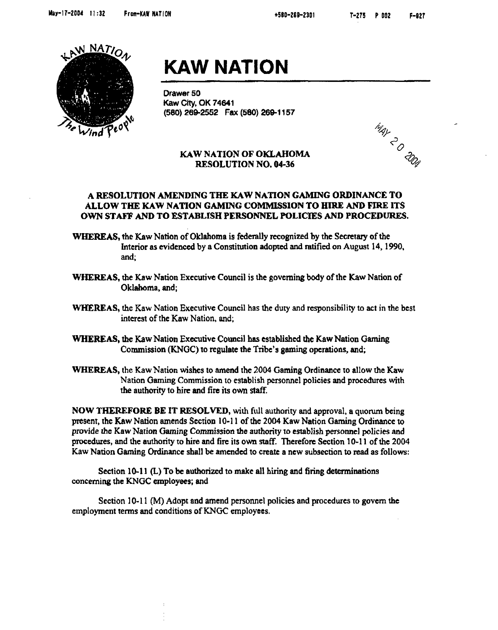Ingly 20 20g



# **KAW NATION**

**Drawer 50 Kaw City, OK 74641 (580) 2892552 Fax (580) 2681 1 57** 

#### **KAW NATION OF OKLAHOMA RESOLUTION NO. 04-36**

#### **A RESOLUTION AMENDING TEIE KAW NATION GAMING ORDINANCE TO ALLOW THE KAW NATION GAMING COMMISSION TO HIRE AND FIFtE ITS OWN STAFF AND TO ESTABLISH PERSONNEL POLICIES AND PROCEDURES.**

- **WHEREAS,** the **Kaw** Nation of **Oklahoma** is **federally recognized by** the **Secretary** of the **Interior as evidenced by** a Constitution **adopted** and ratified on August 14,1990, and;
- **WHEREAS, the Kaw Nation Executive Council** is **the** governing body of the **Kaw** Nation of **Oklahoma, and;**
- **WIIIEREAS,** the **Kaw** Nation Executive **Council** has the **duty** and responsibility to act in the best interest **of the Kaw** Nation, **and;**
- **WHEREAS,** the **Kaw** Nation **Executive** Council has **established** the **Kaw** Nation **Gaming**  Commission **(KNGC) to regulate the** Tribe's **gaming operations,** and;
- **WHEREAS, the Kaw** Nation **wishes to** amend **the 2004 Gaming Ordinance to allow the Kaw**  Nation **Gaming** Commission to establish personnel policies and procedures with the authority to hire and fire **its own staff**

**NOW THEREFORE BE IT RESOLVED, with full authority and approval,** a **quorum** being present, **rhe Kaw** Nation **amends Secnon 10-1 1 of** the **2004 Kaw** Nation **Gaming Ordinance to provide he Kaw Nation Gaming Commission the authority** to establish **personnel policies and**  procedures, **and** the **authority** to hire and fire **its own staff. Therefort Section** 10-1 1 of the **2004 Kaw** Nation **Gaming** Ordinance shall **be amended** to **creak** a new subsection to read as **follows:** 

Section **10-1** 1 (L) **To be authorized to make all hiring and firing determinations**  concerning **the KNGC** employees; and

**Section 10-1 1 (M) Adopt and** amend personnel policies and procedures **to** govern the employment terms and conditions **of KNGC** employees.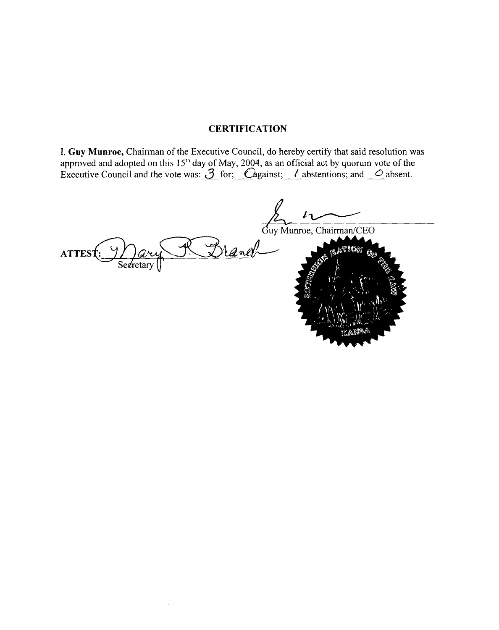## **CERTIFICATION**

I, **Guy Munroe,** Chairman of the Executive Council, do hereby certify that said resolution was approved and adopted on this 15<sup>th</sup> day of May, 2004, as an official act by quorum vote of the Executive Council and the vote was:  $\mathcal{J}$  for; Cagainst; *(* abstentions; and  $\circ$  absent.

Guy Munroe, Chairman/CEO  $ATTEST: \mathcal{D}$  ave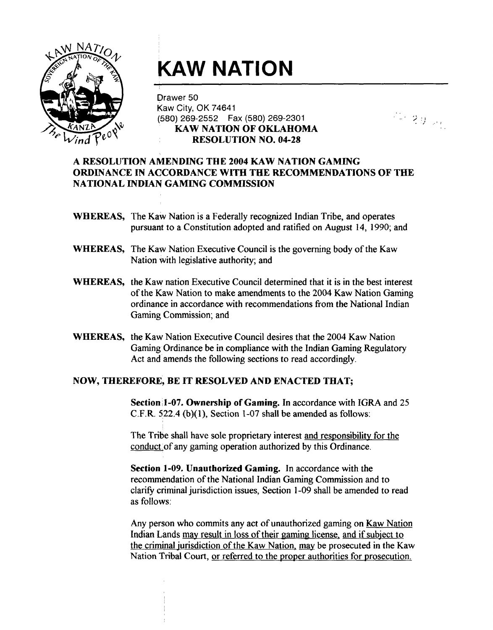

# **KAW NATION**

Drawer 50 Kaw City, OK 74641 (580) 269-2552 Fax (580) 269-2301 **KAW NATION OF OKLAHOMA RESOLUTION NO. 04-28** 

 $\mathbb{Z}^n \rtimes \mathcal{Y} \rtimes \mathbb{Z}^n$ 

### **A RESOLUTION AMENDING THE 2004 KAW NATION GAMING ORDINANCE IN ACCORDANCE WITH THE RECOMMENDATIONS OF THE NATIONAL INDIAN GAMING COMMISSION**

- **WHEREAS,** The Kaw Nation is a Federally recognized Indian Tribe, and operates pursuant to a Constitution adopted and ratified on August 14, 1990; and
- **WHEREAS,** The Kaw Nation Executive Council is the governing body of the Kaw Nation with legislative authority; and
- **WHEREAS,** the Kaw nation Executive Council determined that it is in the best interest of the Kaw Nation to make amendments to the 2004 Kaw Nation Gaming ordinance in accordance with recommendations from the National Indian Gaming Commission; and
- **WHEREAS,** the Kaw Nation Executive Council desires that the 2004 Kaw Nation Gaming Ordinance be in compliance with the Indian Gaming Regulatory Act and amends the following sections to read accordingly.

#### **NOW, THEREFORE, BE IT RESOLVED AND ENACTED THAT;**

**Section 1-07. Ownership of Gaming.** In accordance with IGRA and 25 C.F.R. 522.4 (b)(l), Section 1-07 shall be amended as follows:

The Tribe shall have sole proprietary interest and responsibility for the conduct of any gaming operation authorized by this Ordinance.

**Section 1-09. Unauthorized Gaming.** In accordance with the recommendation of the National Indian Gaming Commission and to clarify criminal jurisdiction issues, Section 1-09 shall be amended to read as follows:

Any person who commits any act of unauthorized gaming on Kaw Nation Indian Lands may result in loss of their gaming license, and if subject to the criminal jurisdiction of the Kaw Nation, mav be prosecuted in the Kaw Nation Tribal Court, or referred to the proper authorities for prosecution.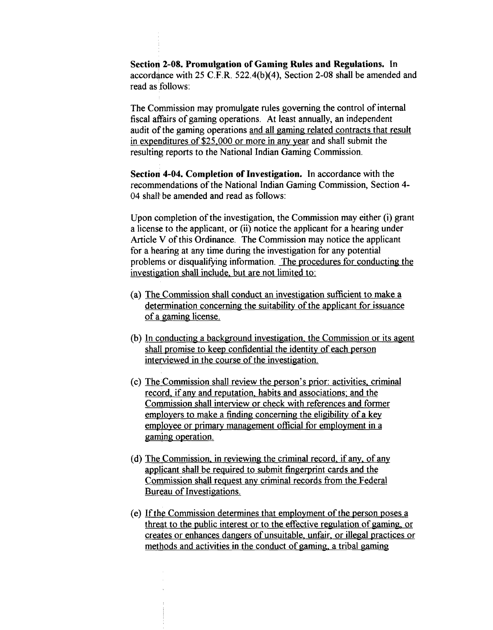**Section 2-08. Promulgation of Gaming Rules and Regulations.** In accordance with 25 C.F.R. 522.4(b)(4), Section 2-08 shall be amended and read as follows:

The Commission may promulgate rules governing the control of internal fiscal affairs of gaming operations. At least annually, an independent audit of the gaming operations and all gaming related contracts that result in expenditures of \$25,000 or more in any vear and shall submit the resulting reports to the National Indian Gaming Commission.

**Section 4-04. Completion of Investigation.** In accordance with the recommendations of the National Indian Gaming Commission, Section 4- 04 shall be amended and read as follows:

Upon completion of the investigation, the Commission may either (i) grant a license to the applicant, or (ii) notice the applicant for a hearing under Article V of this Ordinance. The Commission may notice the applicant for a hearing at any time during the investigation for any potential problems or disqualifying information. The procedures for conducting the investigation shall include. but are not limited to:

- (a) The Commission shall conduct an investigation sufficient to make a determination concerning the suitability of the applicant for issuance of a gaming license.
- (b) In conducting a background investigation, the Commission or its agent shall promise to keep confidential the identity of each person interviewed in the course of the investigation.
- (c) The Commission shall review the person's prior: activities. criminal record. if anv and reputation. habits and associations: and the Commission shall interview or check with references and former employers to make a finding concerning the eligibility of a key employee or primarv management official for employment in a gaming operation.
- (d) The Commission. in reviewing the criminal record. if anv. of any applicant shall be required to submit finperprint cards and the Commission shall request anv criminal records from the Federal Bureau of Investigations.
- (e) If the Commission determines that emplovment of the person poses a threat to the public interest or to the effective regulation of gaming, or creates or enhances dangers of unsuitable. unfair. or illegal practices or methods and activities in the conduct of gaming. a tribal gaming